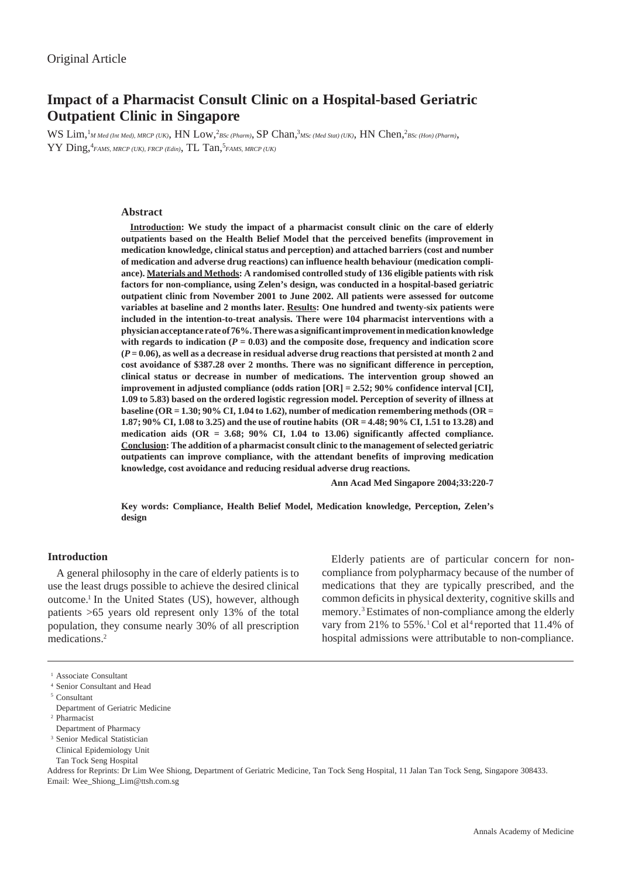# **Impact of a Pharmacist Consult Clinic on a Hospital-based Geriatric Outpatient Clinic in Singapore**

WS  $\lim_{n \to \infty} \frac{1}{M}$  *M Med (Int Med), MRCP (UK)*, HN Low,<sup>2</sup>BSc (Pharm), SP Chan,<sup>3</sup>*MSc (Med Stat) (UK)*, HN Chen,<sup>2</sup>BSc (Hon) (Pharm),  $YY$   $\text{Ding,}^4$ *FAMS, MRCP (UK), FRCP (Edin)*, TL  $\text{Tan,}^5$ *FAMS, MRCP (UK)* 

## **Abstract**

**Introduction: We study the impact of a pharmacist consult clinic on the care of elderly outpatients based on the Health Belief Model that the perceived benefits (improvement in medication knowledge, clinical status and perception) and attached barriers (cost and number of medication and adverse drug reactions) can influence health behaviour (medication compliance). Materials and Methods: A randomised controlled study of 136 eligible patients with risk factors for non-compliance, using Zelen's design, was conducted in a hospital-based geriatric outpatient clinic from November 2001 to June 2002. All patients were assessed for outcome variables at baseline and 2 months later. Results: One hundred and twenty-six patients were included in the intention-to-treat analysis. There were 104 pharmacist interventions with a physician acceptance rate of 76%. There was a significant improvement in medication knowledge** with regards to indication  $(P = 0.03)$  and the composite dose, frequency and indication score **(***P* **= 0.06), as well as a decrease in residual adverse drug reactions that persisted at month 2 and cost avoidance of \$387.28 over 2 months. There was no significant difference in perception, clinical status or decrease in number of medications. The intervention group showed an improvement in adjusted compliance (odds ration [OR] = 2.52; 90% confidence interval [CI], 1.09 to 5.83) based on the ordered logistic regression model. Perception of severity of illness at baseline (OR = 1.30; 90% CI, 1.04 to 1.62), number of medication remembering methods (OR = 1.87; 90% CI, 1.08 to 3.25) and the use of routine habits (OR = 4.48; 90% CI, 1.51 to 13.28) and medication aids (OR = 3.68; 90% CI, 1.04 to 13.06) significantly affected compliance. Conclusion: The addition of a pharmacist consult clinic to the management of selected geriatric outpatients can improve compliance, with the attendant benefits of improving medication knowledge, cost avoidance and reducing residual adverse drug reactions.**

**Ann Acad Med Singapore 2004;33:220-7**

**Key words: Compliance, Health Belief Model, Medication knowledge, Perception, Zelen's design**

## **Introduction**

A general philosophy in the care of elderly patients is to use the least drugs possible to achieve the desired clinical outcome.1 In the United States (US), however, although patients >65 years old represent only 13% of the total population, they consume nearly 30% of all prescription medications.2

Elderly patients are of particular concern for noncompliance from polypharmacy because of the number of medications that they are typically prescribed, and the common deficits in physical dexterity, cognitive skills and memory.3 Estimates of non-compliance among the elderly vary from 21% to 55%.<sup>1</sup> Col et al<sup>4</sup> reported that 11.4% of hospital admissions were attributable to non-compliance.

Address for Reprints: Dr Lim Wee Shiong, Department of Geriatric Medicine, Tan Tock Seng Hospital, 11 Jalan Tan Tock Seng, Singapore 308433. Email: Wee\_Shiong\_Lim@ttsh.com.sg

<sup>&</sup>lt;sup>1</sup> Associate Consultant

<sup>4</sup> Senior Consultant and Head

<sup>5</sup> Consultant

Department of Geriatric Medicine

<sup>2</sup> Pharmacist

Department of Pharmacy

<sup>&</sup>lt;sup>3</sup> Senior Medical Statistician Clinical Epidemiology Unit

Tan Tock Seng Hospital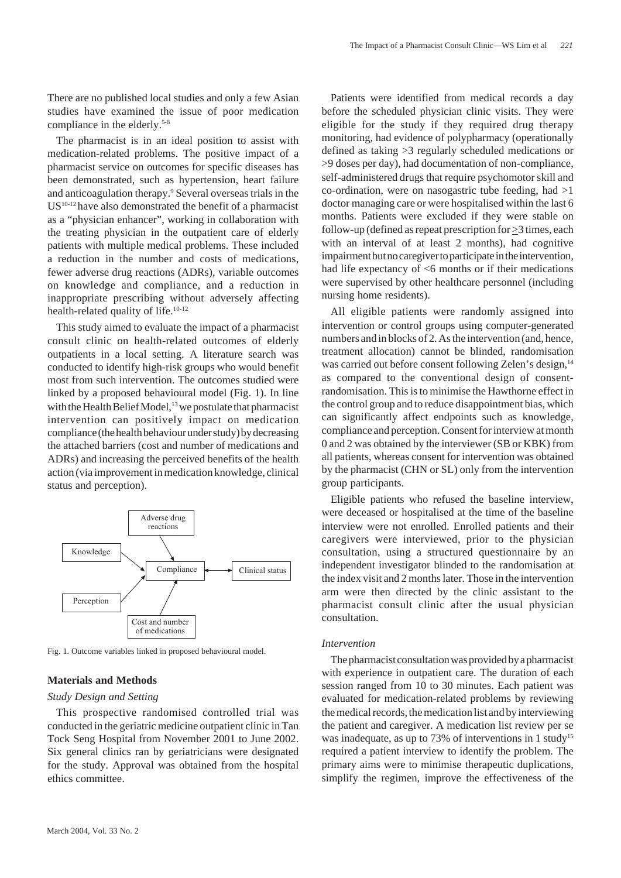There are no published local studies and only a few Asian studies have examined the issue of poor medication compliance in the elderly.<sup>5-8</sup>

The pharmacist is in an ideal position to assist with medication-related problems. The positive impact of a pharmacist service on outcomes for specific diseases has been demonstrated, such as hypertension, heart failure and anticoagulation therapy.9 Several overseas trials in the  $US<sup>10-12</sup>$  have also demonstrated the benefit of a pharmacist as a "physician enhancer", working in collaboration with the treating physician in the outpatient care of elderly patients with multiple medical problems. These included a reduction in the number and costs of medications, fewer adverse drug reactions (ADRs), variable outcomes on knowledge and compliance, and a reduction in inappropriate prescribing without adversely affecting health-related quality of life.<sup>10-12</sup>

This study aimed to evaluate the impact of a pharmacist consult clinic on health-related outcomes of elderly outpatients in a local setting. A literature search was conducted to identify high-risk groups who would benefit most from such intervention. The outcomes studied were linked by a proposed behavioural model (Fig. 1). In line with the Health Belief Model,<sup>13</sup> we postulate that pharmacist intervention can positively impact on medication compliance (the health behaviour under study) by decreasing the attached barriers (cost and number of medications and ADRs) and increasing the perceived benefits of the health action (via improvement in medication knowledge, clinical status and perception).



Fig. 1. Outcome variables linked in proposed behavioural model.

## **Materials and Methods**

### *Study Design and Setting*

This prospective randomised controlled trial was conducted in the geriatric medicine outpatient clinic in Tan Tock Seng Hospital from November 2001 to June 2002. Six general clinics ran by geriatricians were designated for the study. Approval was obtained from the hospital ethics committee.

Patients were identified from medical records a day before the scheduled physician clinic visits. They were eligible for the study if they required drug therapy monitoring, had evidence of polypharmacy (operationally defined as taking >3 regularly scheduled medications or >9 doses per day), had documentation of non-compliance, self-administered drugs that require psychomotor skill and co-ordination, were on nasogastric tube feeding, had  $>1$ doctor managing care or were hospitalised within the last 6 months. Patients were excluded if they were stable on follow-up (defined as repeat prescription for  $\geq$ 3 times, each with an interval of at least 2 months), had cognitive impairment but no caregiver to participate in the intervention, had life expectancy of <6 months or if their medications were supervised by other healthcare personnel (including nursing home residents).

All eligible patients were randomly assigned into intervention or control groups using computer-generated numbers and in blocks of 2. As the intervention (and, hence, treatment allocation) cannot be blinded, randomisation was carried out before consent following Zelen's design,<sup>14</sup> as compared to the conventional design of consentrandomisation. This is to minimise the Hawthorne effect in the control group and to reduce disappointment bias, which can significantly affect endpoints such as knowledge, compliance and perception. Consent for interview at month 0 and 2 was obtained by the interviewer (SB or KBK) from all patients, whereas consent for intervention was obtained by the pharmacist (CHN or SL) only from the intervention group participants.

Eligible patients who refused the baseline interview, were deceased or hospitalised at the time of the baseline interview were not enrolled. Enrolled patients and their caregivers were interviewed, prior to the physician consultation, using a structured questionnaire by an independent investigator blinded to the randomisation at the index visit and 2 months later. Those in the intervention arm were then directed by the clinic assistant to the pharmacist consult clinic after the usual physician consultation.

### *Intervention*

The pharmacist consultation was provided by a pharmacist with experience in outpatient care. The duration of each session ranged from 10 to 30 minutes. Each patient was evaluated for medication-related problems by reviewing the medical records, the medication list and by interviewing the patient and caregiver. A medication list review per se was inadequate, as up to 73% of interventions in 1 study<sup>15</sup> required a patient interview to identify the problem. The primary aims were to minimise therapeutic duplications, simplify the regimen, improve the effectiveness of the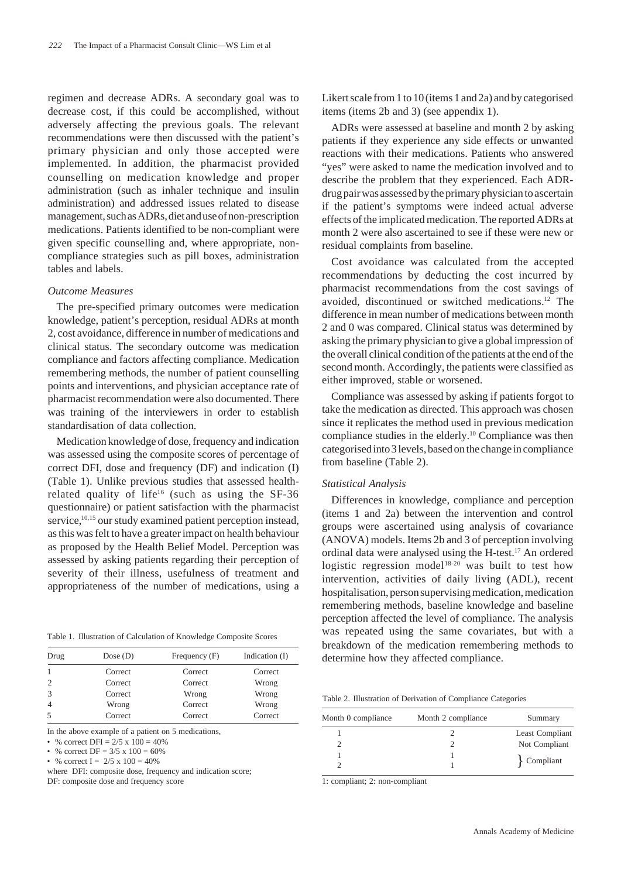regimen and decrease ADRs. A secondary goal was to decrease cost, if this could be accomplished, without adversely affecting the previous goals. The relevant recommendations were then discussed with the patient's primary physician and only those accepted were implemented. In addition, the pharmacist provided counselling on medication knowledge and proper administration (such as inhaler technique and insulin administration) and addressed issues related to disease management, such as ADRs, diet and use of non-prescription medications. Patients identified to be non-compliant were given specific counselling and, where appropriate, noncompliance strategies such as pill boxes, administration tables and labels.

## *Outcome Measures*

The pre-specified primary outcomes were medication knowledge, patient's perception, residual ADRs at month 2, cost avoidance, difference in number of medications and clinical status. The secondary outcome was medication compliance and factors affecting compliance. Medication remembering methods, the number of patient counselling points and interventions, and physician acceptance rate of pharmacist recommendation were also documented. There was training of the interviewers in order to establish standardisation of data collection.

Medication knowledge of dose, frequency and indication was assessed using the composite scores of percentage of correct DFI, dose and frequency (DF) and indication (I) (Table 1). Unlike previous studies that assessed healthrelated quality of life<sup>16</sup> (such as using the SF-36 questionnaire) or patient satisfaction with the pharmacist service,<sup>10,15</sup> our study examined patient perception instead, as this was felt to have a greater impact on health behaviour as proposed by the Health Belief Model. Perception was assessed by asking patients regarding their perception of severity of their illness, usefulness of treatment and appropriateness of the number of medications, using a

Table 1. Illustration of Calculation of Knowledge Composite Scores

| Drug           | Dose(D) | Frequency $(F)$ | Indication (I) |
|----------------|---------|-----------------|----------------|
|                | Correct | Correct         | Correct        |
| $\overline{2}$ | Correct | Correct         | Wrong          |
| 3              | Correct | Wrong           | Wrong          |
| $\overline{4}$ | Wrong   | Correct         | Wrong          |
| 5              | Correct | Correct         | Correct        |

In the above example of a patient on 5 medications,

• % correct DFI =  $2/5 \times 100 = 40\%$ 

• % correct DF =  $3/5 \times 100 = 60\%$ 

• % correct  $I = 2/5 \times 100 = 40\%$ 

where DFI: composite dose, frequency and indication score; DF: composite dose and frequency score

Likert scale from 1 to 10 (items 1 and 2a) and by categorised items (items 2b and 3) (see appendix 1).

ADRs were assessed at baseline and month 2 by asking patients if they experience any side effects or unwanted reactions with their medications. Patients who answered "yes" were asked to name the medication involved and to describe the problem that they experienced. Each ADRdrug pair was assessed by the primary physician to ascertain if the patient's symptoms were indeed actual adverse effects of the implicated medication. The reported ADRs at month 2 were also ascertained to see if these were new or residual complaints from baseline.

Cost avoidance was calculated from the accepted recommendations by deducting the cost incurred by pharmacist recommendations from the cost savings of avoided, discontinued or switched medications.12 The difference in mean number of medications between month 2 and 0 was compared. Clinical status was determined by asking the primary physician to give a global impression of the overall clinical condition of the patients at the end of the second month. Accordingly, the patients were classified as either improved, stable or worsened.

Compliance was assessed by asking if patients forgot to take the medication as directed. This approach was chosen since it replicates the method used in previous medication compliance studies in the elderly.10 Compliance was then categorised into 3 levels, based on the change in compliance from baseline (Table 2).

#### *Statistical Analysis*

Differences in knowledge, compliance and perception (items 1 and 2a) between the intervention and control groups were ascertained using analysis of covariance (ANOVA) models. Items 2b and 3 of perception involving ordinal data were analysed using the H-test.17 An ordered logistic regression model<sup>18-20</sup> was built to test how intervention, activities of daily living (ADL), recent hospitalisation, person supervising medication, medication remembering methods, baseline knowledge and baseline perception affected the level of compliance. The analysis was repeated using the same covariates, but with a breakdown of the medication remembering methods to determine how they affected compliance.

Table 2. Illustration of Derivation of Compliance Categories

| Month 0 compliance | Month 2 compliance | Summary         |
|--------------------|--------------------|-----------------|
|                    |                    | Least Compliant |
|                    |                    | Not Compliant   |
|                    |                    | Compliant       |

1: compliant; 2: non-compliant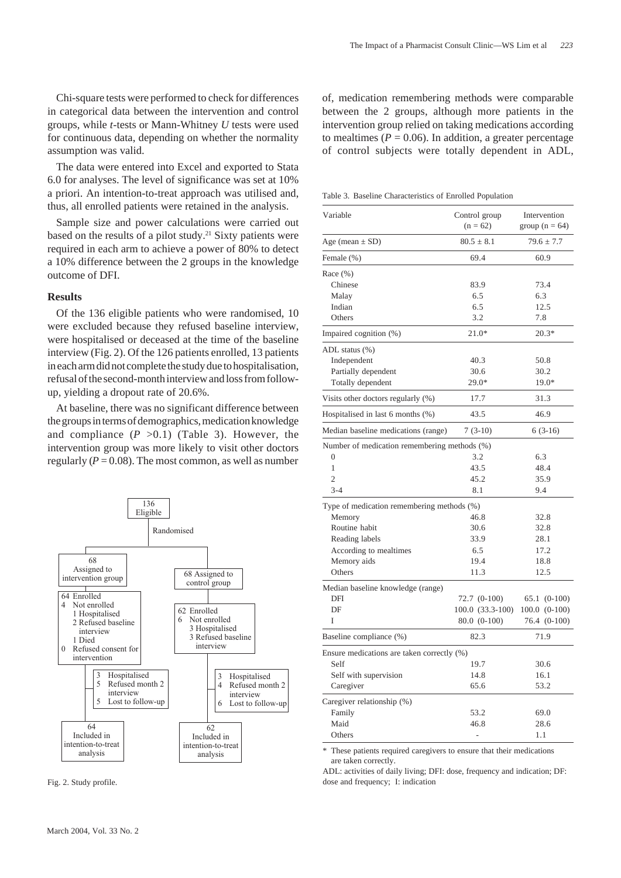Chi-square tests were performed to check for differences in categorical data between the intervention and control groups, while *t*-tests or Mann-Whitney *U* tests were used for continuous data, depending on whether the normality assumption was valid.

The data were entered into Excel and exported to Stata 6.0 for analyses. The level of significance was set at 10% a priori. An intention-to-treat approach was utilised and, thus, all enrolled patients were retained in the analysis.

Sample size and power calculations were carried out based on the results of a pilot study.<sup>21</sup> Sixty patients were required in each arm to achieve a power of 80% to detect a 10% difference between the 2 groups in the knowledge outcome of DFI.

### **Results**

Of the 136 eligible patients who were randomised, 10 were excluded because they refused baseline interview, were hospitalised or deceased at the time of the baseline interview (Fig. 2). Of the 126 patients enrolled, 13 patients in each arm did not complete the study due to hospitalisation, refusal of the second-month interview and loss from followup, yielding a dropout rate of 20.6%.

At baseline, there was no significant difference between the groups in terms of demographics, medication knowledge and compliance  $(P > 0.1)$  (Table 3). However, the intervention group was more likely to visit other doctors regularly  $(P = 0.08)$ . The most common, as well as number



Fig. 2. Study profile.

of, medication remembering methods were comparable between the 2 groups, although more patients in the intervention group relied on taking medications according to mealtimes ( $P = 0.06$ ). In addition, a greater percentage of control subjects were totally dependent in ADL,

Table 3. Baseline Characteristics of Enrolled Population

| Variable<br>Control group<br>Intervention    |                  |                  |
|----------------------------------------------|------------------|------------------|
|                                              | $(n = 62)$       | group $(n = 64)$ |
| Age (mean $\pm$ SD)                          | $80.5 \pm 8.1$   | $79.6 \pm 7.7$   |
| Female (%)                                   | 69.4             | 60.9             |
| Race $(\% )$                                 |                  |                  |
| Chinese                                      | 83.9             | 73.4             |
| Malay                                        | 6.5              | 6.3              |
| Indian                                       | 6.5              | 12.5             |
| Others                                       | 3.2              | 7.8              |
| Impaired cognition (%)                       | $21.0*$          | $20.3*$          |
| ADL status (%)                               |                  |                  |
| Independent                                  | 40.3             | 50.8             |
| Partially dependent                          | 30.6             | 30.2             |
| Totally dependent                            | 29.0*            | 19.0*            |
| Visits other doctors regularly (%)           | 17.7             | 31.3             |
| Hospitalised in last 6 months (%)            | 43.5             | 46.9             |
| Median baseline medications (range)          | $7(3-10)$        | $6(3-16)$        |
| Number of medication remembering methods (%) |                  |                  |
| $\overline{0}$                               | 3.2              | 6.3              |
| 1                                            | 43.5             | 48.4             |
| $\overline{2}$                               | 45.2             | 35.9             |
| $3 - 4$                                      | 8.1              | 9.4              |
| Type of medication remembering methods (%)   |                  |                  |
| Memory                                       | 46.8             | 32.8             |
| Routine habit                                | 30.6             | 32.8             |
| Reading labels                               | 33.9             | 28.1             |
| According to mealtimes                       | 6.5              | 17.2             |
| Memory aids                                  | 19.4             | 18.8             |
| Others                                       | 11.3             | 12.5             |
| Median baseline knowledge (range)            |                  |                  |
| DFI                                          | 72.7 (0-100)     | $65.1 (0-100)$   |
| DF                                           | 100.0 (33.3-100) | $100.0 (0-100)$  |
| I                                            | 80.0 (0-100)     | 76.4 (0-100)     |
| Baseline compliance (%)                      | 82.3             | 71.9             |
| Ensure medications are taken correctly (%)   |                  |                  |
| Self                                         | 19.7             | 30.6             |
| Self with supervision                        | 14.8             | 16.1             |
| Caregiver                                    | 65.6             | 53.2             |
| Caregiver relationship (%)                   |                  |                  |
| Family                                       | 53.2             | 69.0             |
| Maid                                         | 46.8             | 28.6             |
| Others                                       | $\overline{a}$   | 1.1              |

\* These patients required caregivers to ensure that their medications are taken correctly.

ADL: activities of daily living; DFI: dose, frequency and indication; DF: dose and frequency; I: indication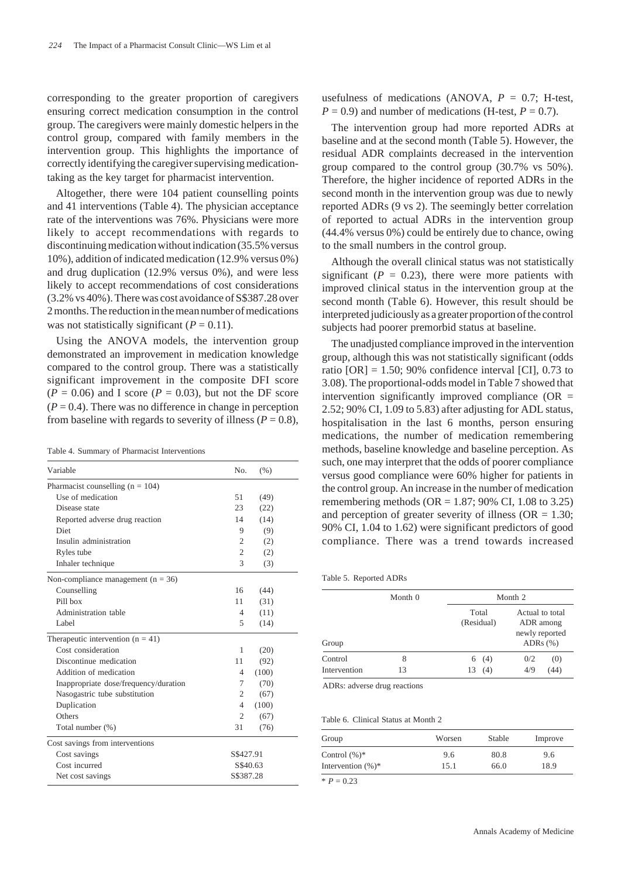corresponding to the greater proportion of caregivers ensuring correct medication consumption in the control group. The caregivers were mainly domestic helpers in the control group, compared with family members in the intervention group. This highlights the importance of correctly identifying the caregiver supervising medicationtaking as the key target for pharmacist intervention.

Altogether, there were 104 patient counselling points and 41 interventions (Table 4). The physician acceptance rate of the interventions was 76%. Physicians were more likely to accept recommendations with regards to discontinuing medication without indication (35.5% versus 10%), addition of indicated medication (12.9% versus 0%) and drug duplication (12.9% versus 0%), and were less likely to accept recommendations of cost considerations (3.2% vs 40%). There was cost avoidance of S\$387.28 over 2 months. The reduction in the mean number of medications was not statistically significant  $(P = 0.11)$ .

Using the ANOVA models, the intervention group demonstrated an improvement in medication knowledge compared to the control group. There was a statistically significant improvement in the composite DFI score  $(P = 0.06)$  and I score  $(P = 0.03)$ , but not the DF score  $(P = 0.4)$ . There was no difference in change in perception from baseline with regards to severity of illness ( $P = 0.8$ ),

Table 4. Summary of Pharmacist Interventions

| Variable                               | N <sub>O</sub> . | (% )  |
|----------------------------------------|------------------|-------|
| Pharmacist counselling $(n = 104)$     |                  |       |
| Use of medication                      | 51               | (49)  |
| Disease state                          | 23               | (22)  |
| Reported adverse drug reaction         | 14               | (14)  |
| Diet                                   | 9                | (9)   |
| Insulin administration                 | $\overline{2}$   | (2)   |
| Ryles tube                             | $\overline{2}$   | (2)   |
| Inhaler technique                      | 3                | (3)   |
| Non-compliance management ( $n = 36$ ) |                  |       |
| Counselling                            | 16               | (44)  |
| Pill box                               | 11               | (31)  |
| Administration table                   | 4                | (11)  |
| Label                                  | 5                | (14)  |
| Therapeutic intervention $(n = 41)$    |                  |       |
| Cost consideration                     | 1                | (20)  |
| Discontinue medication                 | 11               | (92)  |
| Addition of medication                 | 4                | (100) |
| Inappropriate dose/frequency/duration  | 7                | (70)  |
| Nasogastric tube substitution          | $\mathfrak{D}$   | (67)  |
| Duplication                            | 4                | (100) |
| Others                                 | $\overline{c}$   | (67)  |
| Total number (%)                       | 31               | (76)  |
| Cost savings from interventions        |                  |       |
| Cost savings                           | S\$427.91        |       |
| Cost incurred                          | S\$40.63         |       |
| Net cost savings                       | S\$387.28        |       |

usefulness of medications (ANOVA,  $P = 0.7$ ; H-test,  $P = 0.9$ ) and number of medications (H-test,  $P = 0.7$ ).

The intervention group had more reported ADRs at baseline and at the second month (Table 5). However, the residual ADR complaints decreased in the intervention group compared to the control group (30.7% vs 50%). Therefore, the higher incidence of reported ADRs in the second month in the intervention group was due to newly reported ADRs (9 vs 2). The seemingly better correlation of reported to actual ADRs in the intervention group (44.4% versus 0%) could be entirely due to chance, owing to the small numbers in the control group.

Although the overall clinical status was not statistically significant  $(P = 0.23)$ , there were more patients with improved clinical status in the intervention group at the second month (Table 6). However, this result should be interpreted judiciously as a greater proportion of the control subjects had poorer premorbid status at baseline.

The unadjusted compliance improved in the intervention group, although this was not statistically significant (odds ratio  $[OR] = 1.50$ ; 90% confidence interval  $[CI]$ , 0.73 to 3.08). The proportional-odds model in Table 7 showed that intervention significantly improved compliance  $(OR =$ 2.52; 90% CI, 1.09 to 5.83) after adjusting for ADL status, hospitalisation in the last 6 months, person ensuring medications, the number of medication remembering methods, baseline knowledge and baseline perception. As such, one may interpret that the odds of poorer compliance versus good compliance were 60% higher for patients in the control group. An increase in the number of medication remembering methods (OR = 1.87; 90% CI, 1.08 to 3.25) and perception of greater severity of illness ( $OR = 1.30$ ; 90% CI, 1.04 to 1.62) were significant predictors of good compliance. There was a trend towards increased

Table 5. Reported ADRs

|              | Month 0 |                     | Month 2                                                       |  |  |  |  |
|--------------|---------|---------------------|---------------------------------------------------------------|--|--|--|--|
| Group        |         | Total<br>(Residual) | Actual to total<br>ADR among<br>newly reported<br>ADRs $(\%)$ |  |  |  |  |
| Control      | 8       | 6(4)                | 0/2<br>(0)                                                    |  |  |  |  |
| Intervention | 13      | 13(4)               | (44)<br>4/9                                                   |  |  |  |  |

ADRs: adverse drug reactions

#### Table 6. Clinical Status at Month 2

| Group                 | Worsen | Stable | Improve |
|-----------------------|--------|--------|---------|
| Control $(\%)^*$      | 9.6    | 80.8   | 9.6     |
| Intervention $(\%)^*$ | 15.1   | 66.0   | 18.9    |

 $* P = 0.23$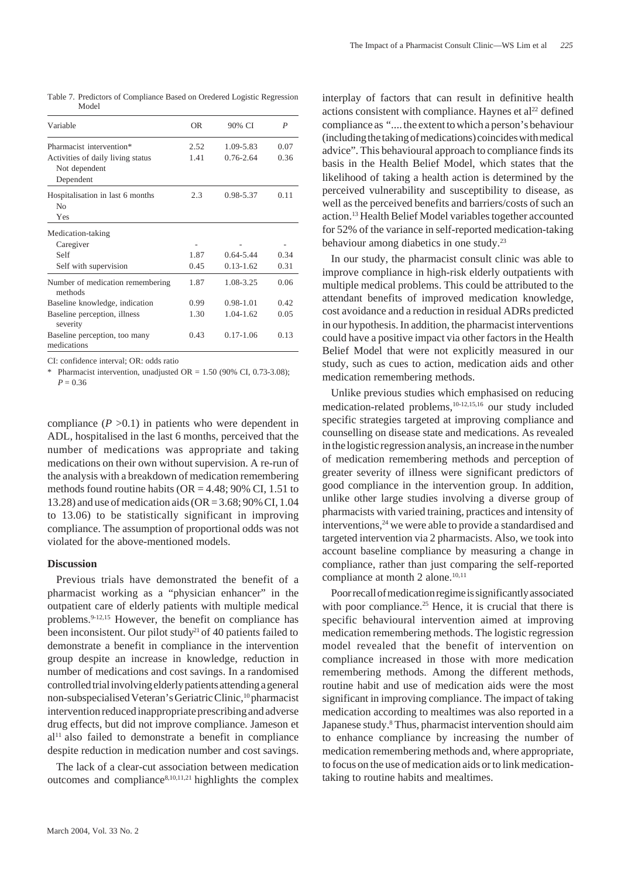|       | Table 7. Predictors of Compliance Based on Oredered Logistic Regression |  |  |
|-------|-------------------------------------------------------------------------|--|--|
| Model |                                                                         |  |  |

| Variable                                     | <b>OR</b> | 90% CI        | P    |
|----------------------------------------------|-----------|---------------|------|
| Pharmacist intervention*                     | 2.52      | 1.09-5.83     | 0.07 |
| Activities of daily living status            | 1.41      | $0.76 - 2.64$ | 0.36 |
| Not dependent                                |           |               |      |
| Dependent                                    |           |               |      |
| Hospitalisation in last 6 months             | 2.3       | 0.98-5.37     | 0.11 |
| Nο                                           |           |               |      |
| Yes                                          |           |               |      |
| Medication-taking                            |           |               |      |
| Caregiver                                    |           |               |      |
| Self                                         | 1.87      | $0.64 - 5.44$ | 0.34 |
| Self with supervision                        | 0.45      | $0.13 - 1.62$ | 0.31 |
| Number of medication remembering<br>methods  | 1.87      | 1.08-3.25     | 0.06 |
| Baseline knowledge, indication               | 0.99      | $0.98 - 1.01$ | 0.42 |
| Baseline perception, illness<br>severity     | 1.30      | $1.04 - 1.62$ | 0.05 |
| Baseline perception, too many<br>medications | 0.43      | $0.17 - 1.06$ | 0.13 |

CI: confidence interval; OR: odds ratio

Pharmacist intervention, unadjusted OR =  $1.50$  (90% CI, 0.73-3.08);

 $P = 0.36$ 

compliance  $(P > 0.1)$  in patients who were dependent in ADL, hospitalised in the last 6 months, perceived that the number of medications was appropriate and taking medications on their own without supervision. A re-run of the analysis with a breakdown of medication remembering methods found routine habits ( $OR = 4.48$ ; 90% CI, 1.51 to 13.28) and use of medication aids (OR = 3.68; 90% CI, 1.04 to 13.06) to be statistically significant in improving compliance. The assumption of proportional odds was not violated for the above-mentioned models.

### **Discussion**

Previous trials have demonstrated the benefit of a pharmacist working as a "physician enhancer" in the outpatient care of elderly patients with multiple medical problems.<sup>9-12,15</sup> However, the benefit on compliance has been inconsistent. Our pilot study<sup>21</sup> of 40 patients failed to demonstrate a benefit in compliance in the intervention group despite an increase in knowledge, reduction in number of medications and cost savings. In a randomised controlled trial involving elderly patients attending a general non-subspecialised Veteran's Geriatric Clinic,10 pharmacist intervention reduced inappropriate prescribing and adverse drug effects, but did not improve compliance. Jameson et  $al<sup>11</sup>$  also failed to demonstrate a benefit in compliance despite reduction in medication number and cost savings.

The lack of a clear-cut association between medication outcomes and compliance $8,10,11,21$  highlights the complex

interplay of factors that can result in definitive health actions consistent with compliance. Haynes et al<sup>22</sup> defined compliance as ".... the extent to which a person's behaviour (including the taking of medications) coincides with medical advice". This behavioural approach to compliance finds its basis in the Health Belief Model, which states that the likelihood of taking a health action is determined by the perceived vulnerability and susceptibility to disease, as well as the perceived benefits and barriers/costs of such an action.13 Health Belief Model variables together accounted for 52% of the variance in self-reported medication-taking behaviour among diabetics in one study.23

In our study, the pharmacist consult clinic was able to improve compliance in high-risk elderly outpatients with multiple medical problems. This could be attributed to the attendant benefits of improved medication knowledge, cost avoidance and a reduction in residual ADRs predicted in our hypothesis. In addition, the pharmacist interventions could have a positive impact via other factors in the Health Belief Model that were not explicitly measured in our study, such as cues to action, medication aids and other medication remembering methods.

Unlike previous studies which emphasised on reducing medication-related problems,10-12,15,16 our study included specific strategies targeted at improving compliance and counselling on disease state and medications. As revealed in the logistic regression analysis, an increase in the number of medication remembering methods and perception of greater severity of illness were significant predictors of good compliance in the intervention group. In addition, unlike other large studies involving a diverse group of pharmacists with varied training, practices and intensity of interventions,<sup>24</sup> we were able to provide a standardised and targeted intervention via 2 pharmacists. Also, we took into account baseline compliance by measuring a change in compliance, rather than just comparing the self-reported compliance at month 2 alone.<sup>10,11</sup>

Poor recall of medication regime is significantly associated with poor compliance.<sup>25</sup> Hence, it is crucial that there is specific behavioural intervention aimed at improving medication remembering methods. The logistic regression model revealed that the benefit of intervention on compliance increased in those with more medication remembering methods. Among the different methods, routine habit and use of medication aids were the most significant in improving compliance. The impact of taking medication according to mealtimes was also reported in a Japanese study.<sup>8</sup> Thus, pharmacist intervention should aim to enhance compliance by increasing the number of medication remembering methods and, where appropriate, to focus on the use of medication aids or to link medicationtaking to routine habits and mealtimes.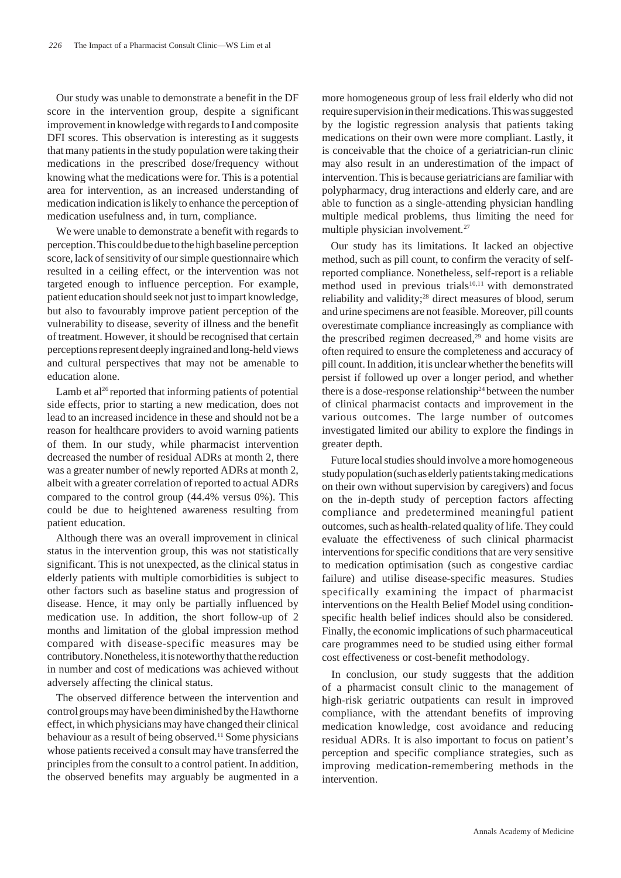Our study was unable to demonstrate a benefit in the DF score in the intervention group, despite a significant improvement in knowledge with regards to I and composite DFI scores. This observation is interesting as it suggests that many patients in the study population were taking their medications in the prescribed dose/frequency without knowing what the medications were for. This is a potential area for intervention, as an increased understanding of medication indication is likely to enhance the perception of medication usefulness and, in turn, compliance.

We were unable to demonstrate a benefit with regards to perception. This could be due to the high baseline perception score, lack of sensitivity of our simple questionnaire which resulted in a ceiling effect, or the intervention was not targeted enough to influence perception. For example, patient education should seek not just to impart knowledge, but also to favourably improve patient perception of the vulnerability to disease, severity of illness and the benefit of treatment. However, it should be recognised that certain perceptions represent deeply ingrained and long-held views and cultural perspectives that may not be amenable to education alone.

Lamb et al<sup>26</sup> reported that informing patients of potential side effects, prior to starting a new medication, does not lead to an increased incidence in these and should not be a reason for healthcare providers to avoid warning patients of them. In our study, while pharmacist intervention decreased the number of residual ADRs at month 2, there was a greater number of newly reported ADRs at month 2, albeit with a greater correlation of reported to actual ADRs compared to the control group (44.4% versus 0%). This could be due to heightened awareness resulting from patient education.

Although there was an overall improvement in clinical status in the intervention group, this was not statistically significant. This is not unexpected, as the clinical status in elderly patients with multiple comorbidities is subject to other factors such as baseline status and progression of disease. Hence, it may only be partially influenced by medication use. In addition, the short follow-up of 2 months and limitation of the global impression method compared with disease-specific measures may be contributory. Nonetheless, it is noteworthy that the reduction in number and cost of medications was achieved without adversely affecting the clinical status.

The observed difference between the intervention and control groups may have been diminished by the Hawthorne effect, in which physicians may have changed their clinical behaviour as a result of being observed.<sup>11</sup> Some physicians whose patients received a consult may have transferred the principles from the consult to a control patient. In addition, the observed benefits may arguably be augmented in a

more homogeneous group of less frail elderly who did not require supervision in their medications. This was suggested by the logistic regression analysis that patients taking medications on their own were more compliant. Lastly, it is conceivable that the choice of a geriatrician-run clinic may also result in an underestimation of the impact of intervention. This is because geriatricians are familiar with polypharmacy, drug interactions and elderly care, and are able to function as a single-attending physician handling multiple medical problems, thus limiting the need for multiple physician involvement.<sup>27</sup>

Our study has its limitations. It lacked an objective method, such as pill count, to confirm the veracity of selfreported compliance. Nonetheless, self-report is a reliable method used in previous trials $10,11$  with demonstrated reliability and validity;<sup>28</sup> direct measures of blood, serum and urine specimens are not feasible. Moreover, pill counts overestimate compliance increasingly as compliance with the prescribed regimen decreased, $29$  and home visits are often required to ensure the completeness and accuracy of pill count. In addition, it is unclear whether the benefits will persist if followed up over a longer period, and whether there is a dose-response relationship<sup>24</sup> between the number of clinical pharmacist contacts and improvement in the various outcomes. The large number of outcomes investigated limited our ability to explore the findings in greater depth.

Future local studies should involve a more homogeneous study population (such as elderly patients taking medications on their own without supervision by caregivers) and focus on the in-depth study of perception factors affecting compliance and predetermined meaningful patient outcomes, such as health-related quality of life. They could evaluate the effectiveness of such clinical pharmacist interventions for specific conditions that are very sensitive to medication optimisation (such as congestive cardiac failure) and utilise disease-specific measures. Studies specifically examining the impact of pharmacist interventions on the Health Belief Model using conditionspecific health belief indices should also be considered. Finally, the economic implications of such pharmaceutical care programmes need to be studied using either formal cost effectiveness or cost-benefit methodology.

In conclusion, our study suggests that the addition of a pharmacist consult clinic to the management of high-risk geriatric outpatients can result in improved compliance, with the attendant benefits of improving medication knowledge, cost avoidance and reducing residual ADRs. It is also important to focus on patient's perception and specific compliance strategies, such as improving medication-remembering methods in the intervention.